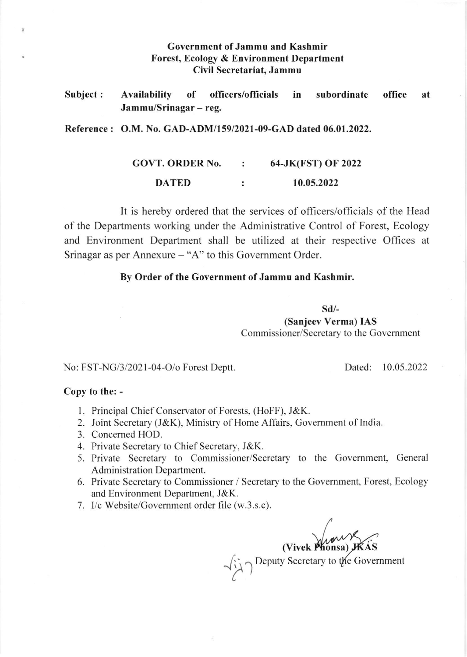## Government of Jammu and Kashmir Forest, Ecology & Environment Department Civil Secretariat. Jammu

Subject: Availability of officers/officials Jammu/Srinagar - reg. in subordinate office at

Reference : O.M. No. GAD-ADM/159/2021-09-GAD dated 06.01.2022.

GOVT. ORDER No.  $\ddot{\cdot}$ 64-JK(FST) OF 2022 DATED  $\ddot{\cdot}$ 10.05.2022

It is hereby ordered that the services of officers/officials of the Head of the Departments working under the Administrative Control of Forest, Ecology and Environment Department shall be utilized at their respective Offices at Srinagar as per Annexure  $-$  "A" to this Government Order.

## By Order of the Government of Jammu and Kashmir.

sd/-

(Sanjeev Verma) IAS Commissioner/Secretary to the Government

No: FST-NG/3/2021-04-O/o Forest Deptt. Dated: 10.05.2022

## Copy to the: -

ä

- <sup>I</sup>. Principal Chief Conservator of Forests. (HoFF), J&K.
- 2. Joint Secretary (J&K), Ministry of Home Affairs, Govemment of India.
- 3. Concerned HOD.
- 4. Private Secretary to Chief Secretary, J&K.
- 5. Private Secretary to Commissioner/Secretary to the Govemment. General Administration Department.
- 6. Private Secretary to Commissioner / Secretary to the Govemment, Forest, Ecology and Environment Department, J&K.
- 7. l/c Website/Govemment order file (w.3.s.c).

(Vivek Phonsa) KAS emment )  $\sim$  $\frac{1}{2}$   $\gamma$  Deputy Secretary to the Gov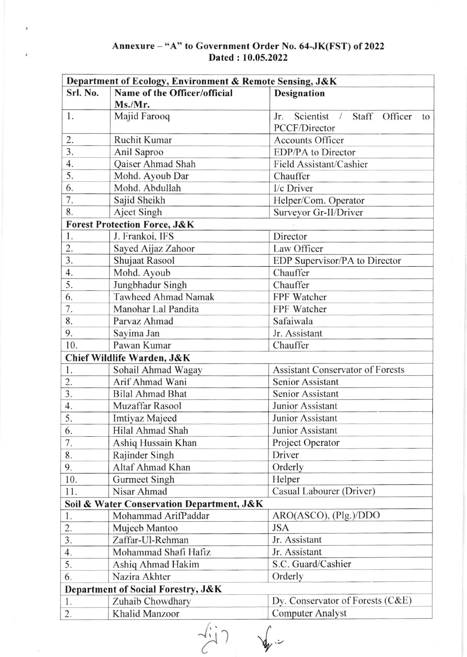## Annexure - "A" to Government Order No. 64-JK(FST) of <sup>2022</sup> Dated: 10.05.2022

| Department of Ecology, Environment & Remote Sensing, J&K |                                           |                                                          |  |
|----------------------------------------------------------|-------------------------------------------|----------------------------------------------------------|--|
| Srl. No.                                                 | Name of the Officer/official              | <b>Designation</b>                                       |  |
|                                                          | Ms./Mr.                                   |                                                          |  |
| 1.                                                       | Majid Farooq                              | Scientist<br>Staff<br>Jr.<br>Officer<br>$\sqrt{2}$<br>to |  |
|                                                          |                                           | PCCF/Director                                            |  |
| 2.                                                       | Ruchit Kumar                              | <b>Accounts Officer</b>                                  |  |
| 3.                                                       | Anil Saproo                               | EDP/PA to Director                                       |  |
| 4.                                                       | Qaiser Ahmad Shah                         | Field Assistant/Cashier                                  |  |
| 5.                                                       | Mohd. Ayoub Dar                           | Chauffer                                                 |  |
| 6.                                                       | Mohd. Abdullah                            | I/c Driver                                               |  |
| 7.                                                       | Sajid Sheikh                              | Helper/Com. Operator                                     |  |
| 8.                                                       | Ajeet Singh                               | Surveyor Gr-II/Driver                                    |  |
| <b>Forest Protection Force, J&amp;K</b>                  |                                           |                                                          |  |
| 1.                                                       | J. Frankoi, IFS                           | Director                                                 |  |
| 2.                                                       | Sayed Aijaz Zahoor                        | Law Officer                                              |  |
| 3.                                                       | Shujaat Rasool                            | EDP Supervisor/PA to Director                            |  |
| 4.                                                       | Mohd. Ayoub                               | Chauffer                                                 |  |
| 5.                                                       | Jungbhadur Singh                          | Chauffer                                                 |  |
| 6.                                                       | <b>Tawheed Ahmad Namak</b>                | FPF Watcher                                              |  |
| 7.                                                       | Manohar Lal Pandita                       | FPF Watcher                                              |  |
| 8.                                                       | Parvaz Ahmad                              | Safaiwala                                                |  |
| 9.                                                       | Sayima Jan                                | Jr. Assistant                                            |  |
| 10.                                                      | Pawan Kumar                               | Chauffer                                                 |  |
| Chief Wildlife Warden, J&K                               |                                           |                                                          |  |
| 1.                                                       | Sohail Ahmad Wagay                        | <b>Assistant Conservator of Forests</b>                  |  |
| 2.                                                       | Arif Ahmad Wani                           | <b>Senior Assistant</b>                                  |  |
| 3.                                                       | <b>Bilal Ahmad Bhat</b>                   | Senior Assistant                                         |  |
| 4.                                                       | Muzaffar Rasool                           | Junior Assistant                                         |  |
| 5.                                                       | Imtiyaz Majeed                            | Junior Assistant                                         |  |
| 6.                                                       | Hilal Ahmad Shah                          | Junior Assistant                                         |  |
| 7.                                                       | Ashiq Hussain Khan                        | Project Operator                                         |  |
| 8.                                                       | Rajinder Singh                            | Driver                                                   |  |
| 9.                                                       | Altaf Ahmad Khan                          | Orderly                                                  |  |
| 10.                                                      | <b>Gurmeet Singh</b>                      | Helper                                                   |  |
| 11.                                                      | Nisar Ahmad                               | Casual Labourer (Driver)                                 |  |
|                                                          | Soil & Water Conservation Department, J&K |                                                          |  |
| 1.                                                       | Mohammad ArifPaddar                       | ARO(ASCO), (Plg.)/DDO                                    |  |
| 2.                                                       | Mujeeb Mantoo                             | <b>JSA</b>                                               |  |
| 3.                                                       | Zaffar-Ul-Rehman                          | Jr. Assistant                                            |  |
| 4.                                                       | Mohammad Shafi Hafiz                      | Jr. Assistant                                            |  |
| 5.                                                       | Ashiq Ahmad Hakim                         | S.C. Guard/Cashier                                       |  |
| 6.                                                       | Nazira Akhter                             | Orderly                                                  |  |
|                                                          |                                           |                                                          |  |
| Department of Social Forestry, J&K                       |                                           |                                                          |  |
| 1.                                                       | Zuhaib Chowdhary                          | Dy. Conservator of Forests (C&E)                         |  |
| 2.                                                       | Khalid Manzoor                            | <b>Computer Analyst</b>                                  |  |

 $\frac{1}{2}$